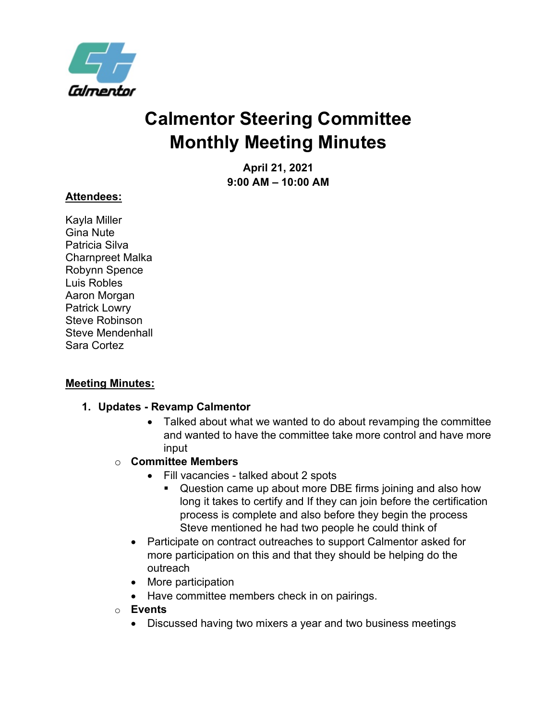

# **Calmentor Steering Committee Monthly Meeting Minutes**

**April 21, 2021 9:00 AM – 10:00 AM**

### **Attendees:**

Kayla Miller Gina Nute Patricia Silva Charnpreet Malka Robynn Spence Luis Robles Aaron Morgan Patrick Lowry Steve Robinson Steve Mendenhall Sara Cortez

#### **Meeting Minutes:**

#### **1. Updates - Revamp Calmentor**

- Talked about what we wanted to do about revamping the committee and wanted to have the committee take more control and have more input
- o **Committee Members**
	- Fill vacancies talked about 2 spots
		- **Question came up about more DBE firms joining and also how** long it takes to certify and If they can join before the certification process is complete and also before they begin the process Steve mentioned he had two people he could think of
	- Participate on contract outreaches to support Calmentor asked for more participation on this and that they should be helping do the outreach
	- More participation
	- Have committee members check in on pairings.
- o **Events**
	- Discussed having two mixers a year and two business meetings